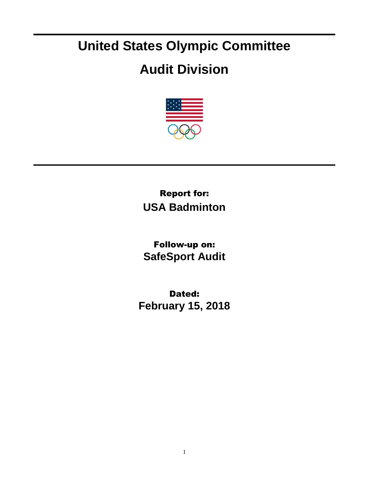## **United States Olympic Committee**

## **Audit Division**



Report for: **USA Badminton**

Follow-up on: **SafeSport Audit**

Dated: **February 15, 2018**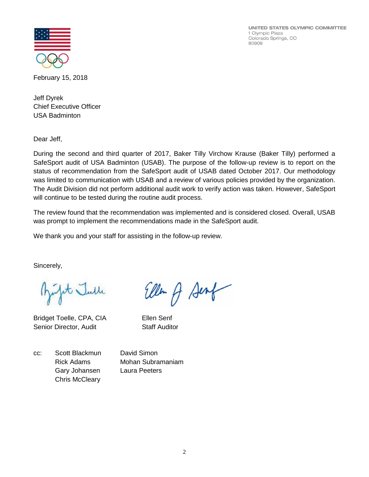UNITED STATES OLYMPIC COMMITTEE 1 Olympic Plaza Colorado Springs, CO 80909



February 15, 2018

Jeff Dyrek Chief Executive Officer USA Badminton

Dear Jeff,

During the second and third quarter of 2017, Baker Tilly Virchow Krause (Baker Tilly) performed a SafeSport audit of USA Badminton (USAB). The purpose of the follow-up review is to report on the status of recommendation from the SafeSport audit of USAB dated October 2017. Our methodology was limited to communication with USAB and a review of various policies provided by the organization. The Audit Division did not perform additional audit work to verify action was taken. However, SafeSport will continue to be tested during the routine audit process.

The review found that the recommendation was implemented and is considered closed. Overall, USAB was prompt to implement the recommendations made in the SafeSport audit.

Eller of Sent

We thank you and your staff for assisting in the follow-up review.

Sincerely,

Julit Julle

Bridget Toelle, CPA, CIA Ellen Senf Senior Director, Audit Staff Auditor

cc: Scott Blackmun David Simon Gary Johansen Laura Peeters Chris McCleary

Rick Adams Mohan Subramaniam